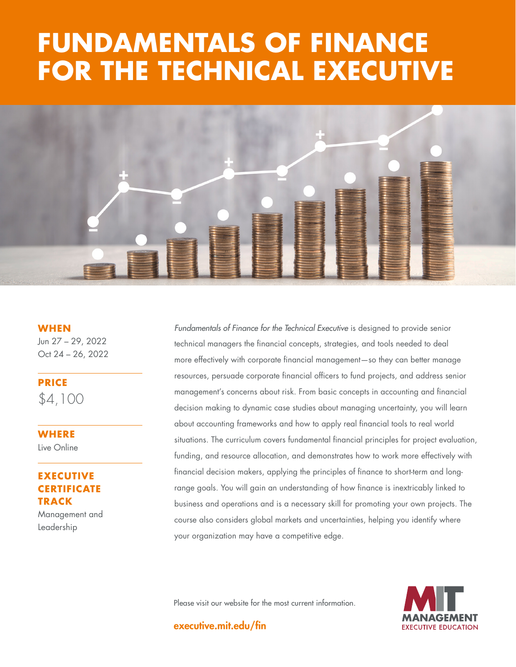# **FUNDAMENTALS OF FINANCE FOR THE TECHNICAL EXECUTIVE**



**WHEN** Jun 27 – 29, 2022 Oct 24 – 26, 2022

**PRICE** \$4,100

**WHERE**  Live Online

## **EXECUTIVE CERTIFICATE TRACK**

Management and Leadership

*Fundamentals of Finance for the Technical Executive* is designed to provide senior technical managers the financial concepts, strategies, and tools needed to deal more effectively with corporate financial management—so they can better manage resources, persuade corporate financial officers to fund projects, and address senior management's concerns about risk. From basic concepts in accounting and financial decision making to dynamic case studies about managing uncertainty, you will learn about accounting frameworks and how to apply real financial tools to real world situations. The curriculum covers fundamental financial principles for project evaluation, funding, and resource allocation, and demonstrates how to work more effectively with financial decision makers, applying the principles of finance to short-term and longrange goals. You will gain an understanding of how finance is inextricably linked to business and operations and is a necessary skill for promoting your own projects. The course also considers global markets and uncertainties, helping you identify where your organization may have a competitive edge.

Please visit our website for the most current information.



executive.mit.edu/fin